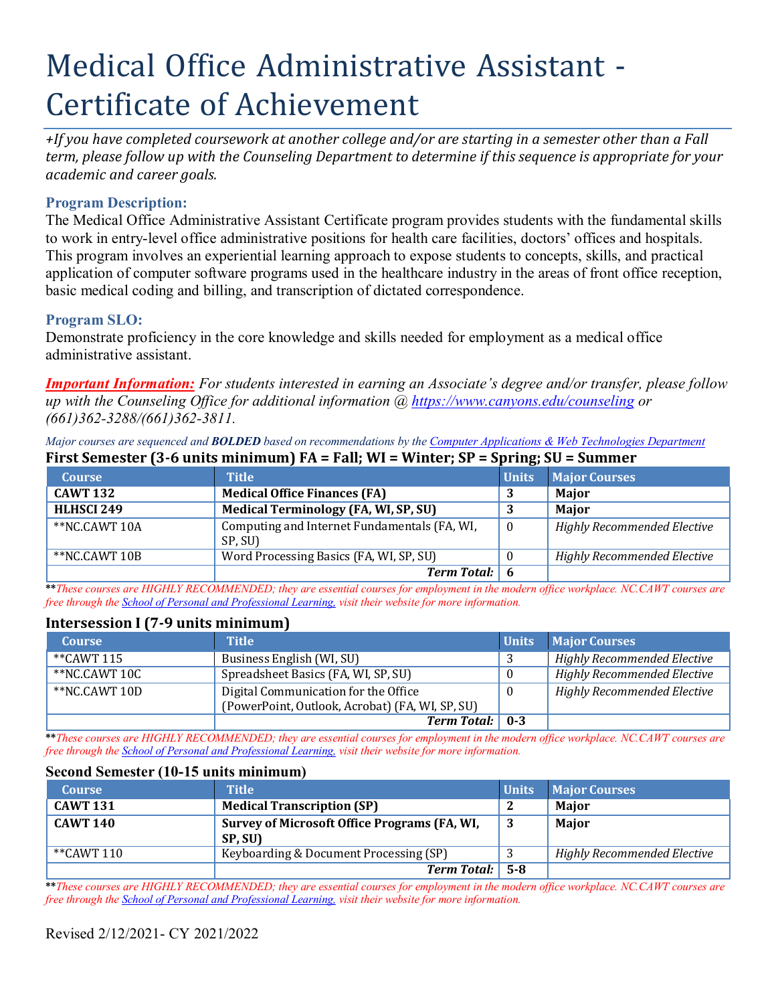# Medical Office Administrative Assistant - Certificate of Achievement

*+If you have completed coursework at another college and/or are starting in a semester other than a Fall term, please follow up with the Counseling Department to determine if this sequence is appropriate for your academic and career goals.*

## **Program Description:**

The Medical Office Administrative Assistant Certificate program provides students with the fundamental skills to work in entry-level office administrative positions for health care facilities, doctors' offices and hospitals. This program involves an experiential learning approach to expose students to concepts, skills, and practical application of computer software programs used in the healthcare industry in the areas of front office reception, basic medical coding and billing, and transcription of dictated correspondence.

## **Program SLO:**

Demonstrate proficiency in the core knowledge and skills needed for employment as a medical office administrative assistant.

*Important Information: For students interested in earning an Associate's degree and/or transfer, please follow up with the Counseling Office for additional information @ https:/[/www.canyons.edu/counseling](http://www.canyons.edu/counseling) or (661)362-3288/(661)362-3811.*

Major courses are sequenced and **BOLDED** based on recommendations by the Computer Applications & Web Technologies Department

| <b>Course</b>     | <b>Title</b>                                            | <b>Units</b>   | <b>Major Courses</b>               |
|-------------------|---------------------------------------------------------|----------------|------------------------------------|
| <b>CAWT 132</b>   | <b>Medical Office Finances (FA)</b>                     |                | <b>Maior</b>                       |
| <b>HLHSCI 249</b> | <b>Medical Terminology (FA, WI, SP, SU)</b>             |                | <b>Maior</b>                       |
| **NC.CAWT 10A     | Computing and Internet Fundamentals (FA, WI,<br>SP, SU) | $\overline{0}$ | <b>Highly Recommended Elective</b> |
| **NC.CAWT 10B     | Word Processing Basics (FA, WI, SP, SU)                 | -0             | <b>Highly Recommended Elective</b> |
|                   | <b>Term Total:</b> 6                                    |                |                                    |

# **First Semester (3-6 units minimum) FA = Fall; WI = Winter; SP = Spring; SU = Summer**

**\*\****These courses are HIGHLY RECOMMENDED; they are essential courses for employment in the modern office workplace. NC.CAWT courses are free through the School of Personal and Professional Learning, visit their website for more information.*

## **Intersession I (7-9 units minimum)**

| <b>Course</b> | <b>Title</b>                                    | <b>Units</b> | <b>Major Courses</b>               |
|---------------|-------------------------------------------------|--------------|------------------------------------|
| **CAWT 115    | Business English (WI, SU)                       |              | <b>Highly Recommended Elective</b> |
| **NC.CAWT 10C | Spreadsheet Basics (FA, WI, SP, SU)             |              | <b>Highly Recommended Elective</b> |
| **NC.CAWT 10D | Digital Communication for the Office            |              | <b>Highly Recommended Elective</b> |
|               | (PowerPoint, Outlook, Acrobat) (FA, WI, SP, SU) |              |                                    |
|               | <b>Term Total:</b> 0-3                          |              |                                    |

**\*\****These courses are HIGHLY RECOMMENDED; they are essential courses for employment in the modern office workplace. NC.CAWT courses are free through the School of Personal and Professional Learning, visit their website for more information.*

#### **Second Semester (10-15 units minimum)**

| <b>Course</b>   | <b>Title</b>                                 | <b>Units</b> | <b>Major Courses</b>               |
|-----------------|----------------------------------------------|--------------|------------------------------------|
| <b>CAWT 131</b> | <b>Medical Transcription (SP)</b>            |              | Maior                              |
| <b>CAWT 140</b> | Survey of Microsoft Office Programs (FA, WI, |              | Major                              |
|                 | SP, SU)                                      |              |                                    |
| **CAWT 110      | Keyboarding & Document Processing (SP)       |              | <b>Highly Recommended Elective</b> |
|                 | <b>Term Total:</b> 5-8                       |              |                                    |

**\*\****These courses are HIGHLY RECOMMENDED; they are essential courses for employment in the modern office workplace. NC.CAWT courses are free through the School of Personal and Professional Learning, visit their website for more information.*